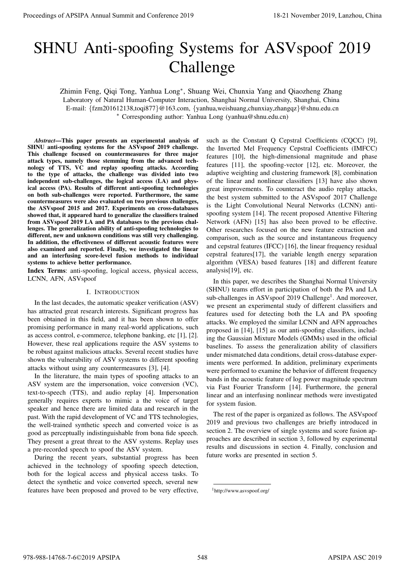# SHNU Anti-spoofing Systems for ASVspoof 2019 Challenge

Zhimin Feng, Qiqi Tong, Yanhua Long<sup>∗</sup> , Shuang Wei, Chunxia Yang and Qiaozheng Zhang Laboratory of Natural Human-Computer Interaction, Shanghai Normal University, Shanghai, China E-mail: {fzm201612138,toqi877}@163.com, {yanhua,weishuang,chunxiay,zhangqz}@shnu.edu.cn <sup>∗</sup> Corresponding author: Yanhua Long (yanhua@shnu.edu.cn)

*Abstract*—This paper presents an experimental analysis of SHNU anti-spoofing systems for the ASVspoof 2019 challenge. This challenge focused on countermeasures for three major attack types, namely those stemming from the advanced technology of TTS, VC and replay spoofing attacks. According to the type of attacks, the challenge was divided into two independent sub-challenges, the logical access (LA) and physical access (PA). Results of different anti-spoofing technologies on both sub-challenges were reported. Furthermore, the same countermeasures were also evaluated on two previous challenges, the ASVspoof 2015 and 2017. Experiments on cross-databases showed that, it appeared hard to generalize the classifiers trained from ASVspoof 2019 LA and PA databases to the previous challenges. The generalization ability of anti-spoofing technologies to different, new and unknown conditions was still very challenging. In addition, the effectiveness of different acoustic features were also examined and reported. Finally, we investigated the linear and an interfusing score-level fusion methods to individual systems to achieve better performance.

Index Terms: anti-spoofing, logical access, physical access, LCNN, AFN, ASVspoof

# I. INTRODUCTION

In the last decades, the automatic speaker verification (ASV) has attracted great research interests. Significant progress has been obtained in this field, and it has been shown to offer promising performance in many real-world applications, such as access control, e-commerce, telephone banking, etc [1], [2]. However, these real applications require the ASV systems to be robust against malicious attacks. Several recent studies have shown the vulnerability of ASV systems to different spoofing attacks without using any countermeasures [3], [4].

In the literature, the main types of spoofing attacks to an ASV system are the impersonation, voice conversion (VC), text-to-speech (TTS), and audio replay [4]. Impersonation generally requires experts to mimic a the voice of target speaker and hence there are limited data and research in the past. With the rapid development of VC and TTS technologies, the well-trained synthetic speech and converted voice is as good as perceptually indistinguishable from bona fide speech. They present a great threat to the ASV systems. Replay uses a pre-recorded speech to spoof the ASV system.

During the recent years, substantial progress has been achieved in the technology of spoofing speech detection, both for the logical access and physical access tasks. To detect the synthetic and voice converted speech, several new features have been proposed and proved to be very effective,

such as the Constant Q Cepstral Coefficients (CQCC) [9], the Inverted Mel Frequency Cepstral Coefficients (IMFCC) features [10], the high-dimensional magnitude and phase features [11], the spoofing-vector [12], etc. Moreover, the adaptive weighting and clustering framework [8], combination of the linear and nonlinear classifiers [13] have also shown great improvements. To counteract the audio replay attacks, the best system submitted to the ASVspoof 2017 Challenge is the Light Convolutional Neural Networks (LCNN) antispoofing system [14]. The recent proposed Attentive Filtering Network (AFN) [15] has also been proved to be effective. Other researches focused on the new feature extraction and comparison, such as the source and instantaneous frequency and cepstral features (IFCC) [16], the linear frequency residual cepstral features[17], the variable length energy separation algorithm (VESA) based features [18] and different feature analysis[19], etc. Proceedings of APSIPA Annual Summit and Conference 2019<br>
STRIVE Annual Summit angeles 2019<br>
2011 - Specific and Conference 2019<br>
2011 - Application and Conference 2019<br>
2011 - Application and Conference 2019<br>
2011 - Appli

In this paper, we describes the Shanghai Normal University (SHNU) teams effort in participation of both the PA and LA sub-challenges in ASVspoof 2019 Challenge<sup>1</sup>. And moreover, we present an experimental study of different classifiers and features used for detecting both the LA and PA spoofing attacks. We employed the similar LCNN and AFN approaches proposed in [14], [15] as our anti-spoofing classifiers, including the Gaussian Mixture Models (GMMs) used in the official baselines. To assess the generalization ability of classifiers under mismatched data conditions, detail cross-database experiments were performed. In addition, preliminary experiments were performed to examine the behavior of different frequency bands in the acoustic feature of log power magnitude spectrum via Fast Fourier Transform [14]. Furthermore, the general linear and an interfusing nonlinear methods were investigated for system fusion.

The rest of the paper is organized as follows. The ASVspoof 2019 and previous two challenges are briefly introduced in section 2. The overview of single systems and score fusion approaches are described in section 3, followed by experimental results and discussions in section 4. Finally, conclusion and future works are presented in section 5.

<sup>1</sup>http://www.asvspoof.org/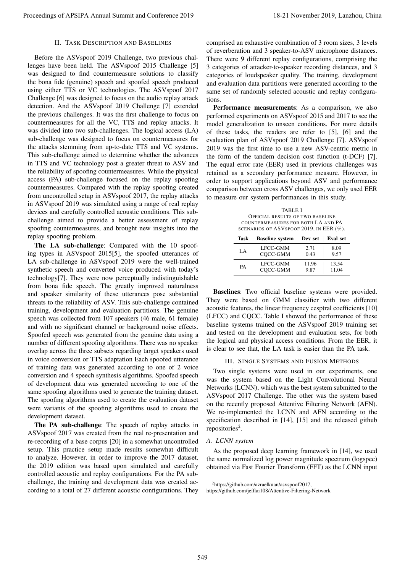## II. TASK DESCRIPTION AND BASELINES

Before the ASVspoof 2019 Challenge, two previous challenges have been held. The ASVspoof 2015 Challenge [5] was designed to find countermeasure solutions to classify the bona fide (genuine) speech and spoofed speech produced using either TTS or VC technologies. The ASVspoof 2017 Challenge [6] was designed to focus on the audio replay attack detection. And the ASVspoof 2019 Challenge [7] extended the previous challenges. It was the first challenge to focus on countermeasures for all the VC, TTS and replay attacks. It was divided into two sub-challenges. The logical access (LA) sub-challenge was designed to focus on countermeasures for the attacks stemming from up-to-date TTS and VC systems. This sub-challenge aimed to determine whether the advances in TTS and VC technology post a greater threat to ASV and the reliability of spoofing countermeasures. While the physical access (PA) sub-challenge focused on the replay spoofing countermeasures. Compared with the replay spoofing created from uncontrolled setup in ASVspoof 2017, the replay attacks in ASVspoof 2019 was simulated using a range of real replay devices and carefully controlled acoustic conditions. This subchallenge aimed to provide a better assessment of replay spoofing countermeasures, and brought new insights into the replay spoofing problem. Proceedings of APSIPA Annual Summit and Conference 2019<br>
IF. The Proceedings of ASA Tensor And Tensor Annual Summit and Conference 2019. The European Summit and Conference 2019, Langlace 2019, Langlace 2019, Langlace 2019

The LA sub-challenge: Compared with the 10 spoofing types in ASVspoof 2015[5], the spoofed utterances of LA sub-challenge in ASVspoof 2019 were the well-trained synthetic speech and converted voice produced with today's technology[7]. They were now perceptually indistinguishable from bona fide speech. The greatly improved naturalness and speaker similarity of these utterances pose substantial threats to the reliability of ASV. This sub-challenge contained training, development and evaluation partitions. The genuine speech was collected from 107 speakers (46 male, 61 female) and with no significant channel or background noise effects. Spoofed speech was generated from the genuine data using a number of different spoofing algorithms. There was no speaker overlap across the three subsets regarding target speakers used in voice conversion or TTS adaptation Each spoofed utterance of training data was generated according to one of 2 voice conversion and 4 speech synthesis algorithms. Spoofed speech of development data was generated according to one of the same spoofing algorithms used to generate the training dataset. The spoofing algorithms used to create the evaluation dataset were variants of the spoofing algorithms used to create the development dataset.

The PA sub-challenge: The speech of replay attacks in ASVspoof 2017 was created from the real re-presentation and re-recording of a base corpus [20] in a somewhat uncontrolled setup. This practice setup made results somewhat difficult to analyze. However, in order to improve the 2017 dataset, the 2019 edition was based upon simulated and carefully controlled acoustic and replay configurations. For the PA subchallenge, the training and development data was created according to a total of 27 different acoustic configurations. They

comprised an exhaustive combination of 3 room sizes, 3 levels of reverberation and 3 speaker-to-ASV microphone distances. There were 9 different replay configurations, comprising the 3 categories of attacker-to-speaker recording distances, and 3 categories of loudspeaker quality. The training, development and evaluation data partitions were generated according to the same set of randomly selected acoustic and replay configurations.

Performance measurements: As a comparison, we also performed experiments on ASVspoof 2015 and 2017 to see the model generalization to unseen conditions. For more details of these tasks, the readers are refer to [5], [6] and the evaluation plan of ASVspoof 2019 Challenge [7]. ASVspoof 2019 was the first time to use a new ASV-centric metric in the form of the tandem decision cost function (t-DCF) [7]. The equal error rate (EER) used in previous challenges was retained as a secondary performance measure. However, in order to support applications beyond ASV and performance comparison between cross ASV challenges, we only used EER to measure our system performances in this study.

TABLE I OFFICIAL RESULTS OF TWO BASELINE COUNTERMEASURES FOR BOTH LA AND PA SCENARIOS OF ASVSPOOF 2019, IN EER (%)

| $500$ $1000$ $1000$ $1000$ $1000$ $1000$ $1000$ |                        |       |                    |  |  |
|-------------------------------------------------|------------------------|-------|--------------------|--|--|
| Task                                            | <b>Baseline</b> system |       | Dev set   Eval set |  |  |
| LA.                                             | LFCC-GMM               | 2.71  | 8.09               |  |  |
|                                                 | COCC-GMM               | 0.43  | 9.57               |  |  |
| PA                                              | LECC-GMM               | 11.96 | 13.54              |  |  |
|                                                 | COCC-GMM               | 9.87  | 11.04              |  |  |

Baselines: Two official baseline systems were provided. They were based on GMM classifier with two different acoustic features, the linear frequency cesptral coefficients [10] (LFCC) and CQCC. Table I showed the performance of these baseline systems trained on the ASVspoof 2019 training set and tested on the development and evaluation sets, for both the logical and physical access conditions. From the EER, it is clear to see that, the LA task is easier than the PA task.

## III. SINGLE SYSTEMS AND FUSION METHODS

Two single systems were used in our experiments, one was the system based on the Light Convolutional Neural Networks (LCNN), which was the best system submitted to the ASVspoof 2017 Challenge. The other was the system based on the recently proposed Attentive Filtering Network (AFN). We re-implemented the LCNN and AFN according to the specification described in [14], [15] and the released github repositories<sup>2</sup>.

## *A. LCNN system*

As the proposed deep learning framework in [14], we used the same normalized log power magnitude spectrum (logspec) obtained via Fast Fourier Transform (FFT) as the LCNN input

<sup>2</sup>https://github.com/azraelkuan/asvspoof2017,

https://github.com/jefflai108/Attentive-Filtering-Network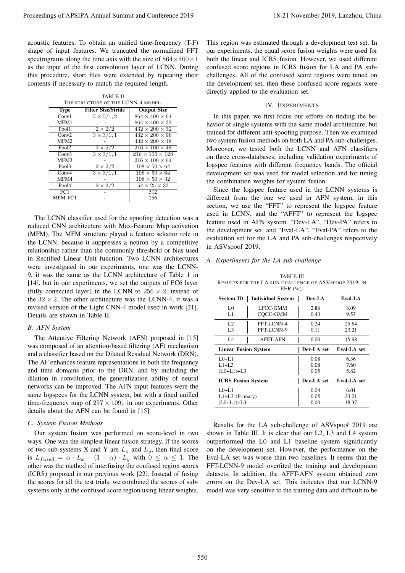TABLE II THE STRUCTURE OF THE LCNN-4 MODEL.

| THE STRUCTURE OF THE LAZININ-4 MODEL. |                           |                             |  |  |  |  |
|---------------------------------------|---------------------------|-----------------------------|--|--|--|--|
| <b>Type</b>                           | <b>Filter Size/Stride</b> | <b>Output Size</b>          |  |  |  |  |
| Conv1                                 | $5 \times 5/1, 2$         | $864 \times 400 \times 64$  |  |  |  |  |
| MFM1                                  |                           | $864 \times 400 \times 32$  |  |  |  |  |
| Pool1                                 | $2 \times 2/2$            | $432 \times 200 \times 32$  |  |  |  |  |
| Conv2                                 | $3 \times 3/1, 1$         | $432 \times 200 \times 96$  |  |  |  |  |
| MFM <sub>2</sub>                      |                           | $432 \times 200 \times 48$  |  |  |  |  |
| Pool $\overline{2}$                   | $2\times 2\sqrt{2}$       | $216 \times 100 \times 48$  |  |  |  |  |
| Conv3                                 | $3 \times 3/1, 1$         | $216 \times 100 \times 128$ |  |  |  |  |
| MFM3                                  |                           | $216 \times 100 \times 64$  |  |  |  |  |
| Pool $\overline{3}$                   | $2 \times 2/2$            | $108 \times 50 \times 64$   |  |  |  |  |
| Conv4                                 | $3 \times 3/1, 1$         | $108 \times 50 \times 64$   |  |  |  |  |
| MFM4                                  |                           | $108 \times 50 \times 32$   |  |  |  |  |
| Pool4                                 | $2 \times 2/2$            | $54 \times 25 \times 32$    |  |  |  |  |
| $\overline{FC1}$                      |                           | 512                         |  |  |  |  |
| MFM FC1                               |                           | 256                         |  |  |  |  |
|                                       |                           |                             |  |  |  |  |

## *B. AFN System*

#### *C. System Fusion Methods*

# IV. EXPERIMENTS

## *A. Experiments for the LA sub-challenge*

TABLE III RESULTS FOR THE LA SUB-CHALLENGE OF ASVSPOOF 2019, IN EER (%).

|                                                                      |                                                                                   | Proceedings of APSIPA Annual Summit and Conference 2019                                                                                                                                                                                                                                                                                                                                                                                                                                                                                                                   |                                                                                                                                                                                                                                                                                                                                                                                          |                                            |                                                                                                                                                                                                                                                                                                                                                                                                                                                                                                             |                      | 18-21 November 2019, Lanzhou, China |
|----------------------------------------------------------------------|-----------------------------------------------------------------------------------|---------------------------------------------------------------------------------------------------------------------------------------------------------------------------------------------------------------------------------------------------------------------------------------------------------------------------------------------------------------------------------------------------------------------------------------------------------------------------------------------------------------------------------------------------------------------------|------------------------------------------------------------------------------------------------------------------------------------------------------------------------------------------------------------------------------------------------------------------------------------------------------------------------------------------------------------------------------------------|--------------------------------------------|-------------------------------------------------------------------------------------------------------------------------------------------------------------------------------------------------------------------------------------------------------------------------------------------------------------------------------------------------------------------------------------------------------------------------------------------------------------------------------------------------------------|----------------------|-------------------------------------|
|                                                                      | contents if necessary to match the required length.                               | acoustic features. To obtain an unified time-frequency (T-F)<br>shape of input features. We truncated the normalized FFT<br>spectrograms along the time axis with the size of $864 \times 400 \times 1$<br>as the input of the first convolution layer of LCNN. During<br>this procedure, short files were extended by repeating their                                                                                                                                                                                                                                    |                                                                                                                                                                                                                                                                                                                                                                                          |                                            | This region was estimated through a development test set. In<br>our experiments, the equal score fusion weights were used for<br>both the linear and ICRS fusion. However, we used different<br>confused score regions in ICRS fusion for LA and PA sub-<br>challenges. All of the confused score regions were tuned on<br>the development set, then these confused score regions were<br>directly applied to the evaluation set.                                                                           |                      |                                     |
|                                                                      | TABLE II<br>THE STRUCTURE OF THE LCNN-4 MODEL.                                    |                                                                                                                                                                                                                                                                                                                                                                                                                                                                                                                                                                           |                                                                                                                                                                                                                                                                                                                                                                                          |                                            | <b>IV. EXPERIMENTS</b>                                                                                                                                                                                                                                                                                                                                                                                                                                                                                      |                      |                                     |
| <b>Type</b><br>Conv1                                                 | <b>Filter Size/Stride</b><br>$5 \times 5/1, 2$                                    | <b>Output Size</b><br>$864 \times 400 \times 64$                                                                                                                                                                                                                                                                                                                                                                                                                                                                                                                          |                                                                                                                                                                                                                                                                                                                                                                                          |                                            |                                                                                                                                                                                                                                                                                                                                                                                                                                                                                                             |                      |                                     |
| MFM1<br>Pool1<br>Conv2<br>MFM2<br>Pool <sub>2</sub><br>Conv3<br>MFM3 | $2 \times 2/2$<br>$3 \times 3/1, 1$<br>$2 \times 2/2$<br>$\frac{3 \times 3}{1,1}$ | $864\times400\times32$<br>$432\times200\times32$<br>$432 \times 200 \times 96$<br>$432\times200\times48$<br>$216\times100\times48$<br>$216\times100\times128$<br>$216 \times 100 \times 64$                                                                                                                                                                                                                                                                                                                                                                               | In this paper, we first focus our efforts on finding the be-<br>havior of single systems with the same model architecture, but<br>trained for different anti-spoofing purpose. Then we examined<br>two system fusion methods on both LA and PA sub-challenges.<br>Moreover, we tested both the LCNN and AFN classifiers<br>on three cross-databases, including validation experiments of |                                            |                                                                                                                                                                                                                                                                                                                                                                                                                                                                                                             |                      |                                     |
| Pool3                                                                | $2 \times 2/2$                                                                    | $108\times50\times64$                                                                                                                                                                                                                                                                                                                                                                                                                                                                                                                                                     |                                                                                                                                                                                                                                                                                                                                                                                          |                                            | logspec features with different frequency bands. The official                                                                                                                                                                                                                                                                                                                                                                                                                                               |                      |                                     |
| Conv <sub>4</sub><br>MFM4                                            | $3 \times 3/1, 1$                                                                 | $108 \times 50 \times 64$<br>$108 \times 50 \times 32$                                                                                                                                                                                                                                                                                                                                                                                                                                                                                                                    |                                                                                                                                                                                                                                                                                                                                                                                          |                                            | development set was used for model selection and for tuning                                                                                                                                                                                                                                                                                                                                                                                                                                                 |                      |                                     |
| Pool4                                                                | $2 \times 2/2$                                                                    | $54 \times 25 \times 32$                                                                                                                                                                                                                                                                                                                                                                                                                                                                                                                                                  |                                                                                                                                                                                                                                                                                                                                                                                          |                                            | the combination weights for system fusion.<br>Since the logspec feature used in the LCNN systems is                                                                                                                                                                                                                                                                                                                                                                                                         |                      |                                     |
| FC1<br>MFM FC1                                                       |                                                                                   | 512<br>256                                                                                                                                                                                                                                                                                                                                                                                                                                                                                                                                                                |                                                                                                                                                                                                                                                                                                                                                                                          |                                            | different from the one we used in AFN system, in this                                                                                                                                                                                                                                                                                                                                                                                                                                                       |                      |                                     |
|                                                                      |                                                                                   | The LCNN classifier used for the spoofing detection was a<br>reduced CNN architecture with Max-Feature Map activation<br>(MFM). The MFM structure played a feature selector role in<br>the LCNN, because it suppresses a neuron by a competitive<br>relationship rather than the commonly threshold or bias used<br>in Rectified Linear Unit function. Two LCNN architectures<br>were investigated in our experiments, one was the LCNN-<br>9, it was the same as the LCNN architecture of Table 1 in<br>[14], but in our experiments, we set the outputs of FC6 layer    |                                                                                                                                                                                                                                                                                                                                                                                          | in ASVspoof 2019.                          | used in LCNN, and the "AFFT" to represent the logspec<br>feature used in AFN system. "Dev-LA", "Dev-PA" refers to<br>the development set, and "Eval-LA", "Eval-PA" refers to the<br>evaluation set for the LA and PA sub-challenges respectively<br>A. Experiments for the LA sub-challenge<br>TABLE III<br>RESULTS FOR THE LA SUB-CHALLENGE OF ASVSPOOF 2019, IN                                                                                                                                           |                      |                                     |
|                                                                      |                                                                                   | (fully connected layer) in the LCNN to $256 \times 2$ , instead of                                                                                                                                                                                                                                                                                                                                                                                                                                                                                                        |                                                                                                                                                                                                                                                                                                                                                                                          |                                            | EER $(\%).$                                                                                                                                                                                                                                                                                                                                                                                                                                                                                                 |                      |                                     |
|                                                                      |                                                                                   | the $32 \times 2$ . The other architecture was the LCNN-4, it was a                                                                                                                                                                                                                                                                                                                                                                                                                                                                                                       |                                                                                                                                                                                                                                                                                                                                                                                          | <b>System ID</b>                           | <b>Individual System</b>                                                                                                                                                                                                                                                                                                                                                                                                                                                                                    | Dev-LA               | Eval-LA                             |
| Details are shown in Table II.                                       |                                                                                   | revised version of the Light CNN-4 model used in work [21].                                                                                                                                                                                                                                                                                                                                                                                                                                                                                                               |                                                                                                                                                                                                                                                                                                                                                                                          | L <sub>0</sub><br>L1                       | LFCC-GMM<br>CQCC-GMM                                                                                                                                                                                                                                                                                                                                                                                                                                                                                        | 2.86<br>0.43         | 8.09<br>9.57                        |
|                                                                      |                                                                                   |                                                                                                                                                                                                                                                                                                                                                                                                                                                                                                                                                                           |                                                                                                                                                                                                                                                                                                                                                                                          | L <sub>2</sub>                             | FFT-LCNN-4                                                                                                                                                                                                                                                                                                                                                                                                                                                                                                  | 0.24                 | 25.64                               |
| <b>B.</b> AFN System                                                 |                                                                                   |                                                                                                                                                                                                                                                                                                                                                                                                                                                                                                                                                                           |                                                                                                                                                                                                                                                                                                                                                                                          | L <sub>3</sub>                             | FFT-LCNN-9                                                                                                                                                                                                                                                                                                                                                                                                                                                                                                  | 0.11                 | 23.21                               |
|                                                                      |                                                                                   | The Attentive Filtering Network (AFN) proposed in [15]<br>was composed of an attention-based filtering (AF) mechanism                                                                                                                                                                                                                                                                                                                                                                                                                                                     |                                                                                                                                                                                                                                                                                                                                                                                          | L <sub>4</sub>                             | <b>AFFT-AFN</b>                                                                                                                                                                                                                                                                                                                                                                                                                                                                                             | 0.00                 | 15.98                               |
|                                                                      |                                                                                   | and a classifier based on the Dilated Residual Network (DRN).                                                                                                                                                                                                                                                                                                                                                                                                                                                                                                             |                                                                                                                                                                                                                                                                                                                                                                                          | <b>Linear Fusion System</b>                |                                                                                                                                                                                                                                                                                                                                                                                                                                                                                                             | Dev-LA set           | Eval-LA set                         |
|                                                                      |                                                                                   | The AF enhances feature representations in both the frequency                                                                                                                                                                                                                                                                                                                                                                                                                                                                                                             |                                                                                                                                                                                                                                                                                                                                                                                          | $L0+L1$<br>$L1+L3$                         |                                                                                                                                                                                                                                                                                                                                                                                                                                                                                                             | 0.08<br>0.08         | 6.36<br>7.60                        |
|                                                                      |                                                                                   | and time domains prior to the DRN, and by including the                                                                                                                                                                                                                                                                                                                                                                                                                                                                                                                   | $(L0+L1)+L3$<br><b>ICRS Fusion System</b>                                                                                                                                                                                                                                                                                                                                                |                                            |                                                                                                                                                                                                                                                                                                                                                                                                                                                                                                             | 0.05                 | 5.82                                |
|                                                                      |                                                                                   | dilation in convolution, the generalization ability of neural                                                                                                                                                                                                                                                                                                                                                                                                                                                                                                             |                                                                                                                                                                                                                                                                                                                                                                                          |                                            |                                                                                                                                                                                                                                                                                                                                                                                                                                                                                                             | Dev-LA set           | Eval-LA set                         |
|                                                                      | details about the AFN can be found in [15].                                       | networks can be improved. The AFN input features were the<br>same logspecs for the LCNN system, but with a fixed unified<br>time-frequency map of $257 \times 1091$ in our experiments. Other                                                                                                                                                                                                                                                                                                                                                                             |                                                                                                                                                                                                                                                                                                                                                                                          | $L0+L1$<br>L1+L3 (Primary)<br>$(L0+L1)+L3$ |                                                                                                                                                                                                                                                                                                                                                                                                                                                                                                             | 0.04<br>0.05<br>0.00 | 6.01<br>23.21<br>18.37              |
| C. System Fusion Methods                                             |                                                                                   |                                                                                                                                                                                                                                                                                                                                                                                                                                                                                                                                                                           |                                                                                                                                                                                                                                                                                                                                                                                          |                                            | Results for the LA sub-challenge of ASVspoof 2019 are                                                                                                                                                                                                                                                                                                                                                                                                                                                       |                      |                                     |
|                                                                      |                                                                                   | Our system fusion was performed on score-level in two<br>ways. One was the simplest linear fusion strategy. If the scores<br>of two sub-systems X and Y are $L_x$ and $L_y$ , then final score<br>is $L_{fused} = \alpha \cdot L_x + (1 - \alpha) \cdot L_y$ with $0 \leq \alpha \leq 1$ . The<br>other was the method of interfusing the confused region scores<br>(ICRS) proposed in our previous work [22]. Instead of fusing<br>the scores for all the test trials, we combined the scores of sub-<br>systems only at the confused score region using linear weights. |                                                                                                                                                                                                                                                                                                                                                                                          |                                            | shown in Table III. It is clear that our L2, L3 and L4 system<br>outperformed the L0 and L1 baseline system significantly<br>on the development set. However, the performance on the<br>Eval-LA set was worse than two baselines. It seems that the<br>FFT-LCNN-9 model overfited the training and development<br>datasets. In addition, the AFFT-AFN system obtained zero<br>errors on the Dev-LA set. This indicates that our LCNN-9<br>model was very sensitive to the training data and difficult to be |                      |                                     |
|                                                                      |                                                                                   |                                                                                                                                                                                                                                                                                                                                                                                                                                                                                                                                                                           | 550                                                                                                                                                                                                                                                                                                                                                                                      |                                            |                                                                                                                                                                                                                                                                                                                                                                                                                                                                                                             |                      |                                     |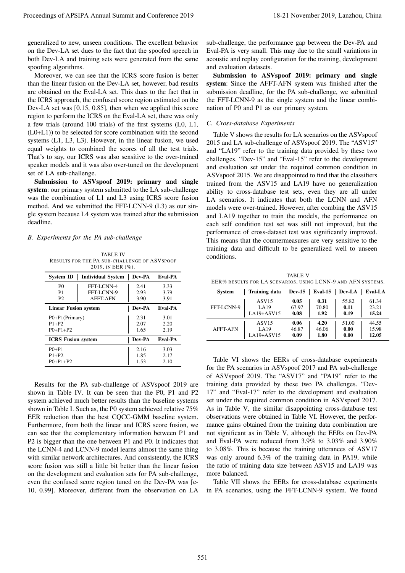generalized to new, unseen conditions. The excellent behavior on the Dev-LA set dues to the fact that the spoofed speech in both Dev-LA and training sets were generated from the same spoofing algorithms.

Moreover, we can see that the ICRS score fusion is better than the linear fusion on the Dev-LA set, however, bad results are obtained on the Eval-LA set. This dues to the fact that in the ICRS approach, the confused score region estimated on the Dev-LA set was [0.15, 0.85], then when we applied this score region to perform the ICRS on the Eval-LA set, there was only a few trials (around 100 trials) of the first systems (L0, L1, (L0+L1)) to be selected for score combination with the second systems (L1, L3, L3). However, in the linear fusion, we used equal weights to combined the scores of all the test trials. That's to say, our ICRS was also sensitive to the over-trained speaker models and it was also over-tuned on the development set of LA sub-challenge.

Submission to ASVspoof 2019: primary and single system: our primary system submitted to the LA sub-challenge was the combination of L1 and L3 using ICRS score fusion method. And we submitted the FFT-LCNN-9 (L3) as our single system because L4 system was trained after the submission deadline.

### *B. Experiments for the PA sub-challenge*

TABLE IV RESULTS FOR THE PA SUB-CHALLENGE OF ASVSPOOF 2019, IN EER (%).

| <b>System ID</b>            | <b>Individual System</b> | Dev-PA        | <b>Eval-PA</b> |  |  |  |  |  |
|-----------------------------|--------------------------|---------------|----------------|--|--|--|--|--|
| P <sub>0</sub>              | FFT-LCNN-4               | 2.41          | 3.33           |  |  |  |  |  |
| P1                          | FFT-LCNN-9               | 2.93          | 3.79           |  |  |  |  |  |
| P <sub>2</sub>              | <b>AFFT-AFN</b>          | 3.90          | 3.91           |  |  |  |  |  |
| <b>Linear Fusion system</b> |                          | Dev-PA        | Eval-PA        |  |  |  |  |  |
| P0+P1(Primary)              |                          | 2.31          | 3.01           |  |  |  |  |  |
| $P1+P2$                     |                          | 2.07          | 2.20           |  |  |  |  |  |
| $P() + P1 + P2$             |                          | 1.65          | 2.19           |  |  |  |  |  |
| <b>ICRS Fusion system</b>   |                          | <b>Dev-PA</b> | <b>Eval-PA</b> |  |  |  |  |  |
| $P() + P1$                  |                          | 2.16          | 3.03           |  |  |  |  |  |
| $P1+P2$                     |                          | 1.85          | 2.17           |  |  |  |  |  |
| $P() + P1 + P2$             |                          | 1.53          | 2.10           |  |  |  |  |  |

Results for the PA sub-challenge of ASVspoof 2019 are shown in Table IV. It can be seen that the P0, P1 and P2 system achieved much better results than the baseline systems shown in Table I. Such as, the P0 system achieved relative 75% EER reduction than the best CQCC-GMM baseline system. Furthermore, from both the linear and ICRS score fusion, we can see that the complementary information between P1 and P2 is bigger than the one between P1 and P0. It indicates that the LCNN-4 and LCNN-9 model learns almost the same thing with similar network architectures. And consistently, the ICRS score fusion was still a little bit better than the linear fusion on the development and evaluation sets for PA sub-challenge, even the confused score region tuned on the Dev-PA was [e-10, 0.99]. Moreover, different from the observation on LA

sub-challenge, the performance gap between the Dev-PA and Eval-PA is very small. This may due to the small variations in acoustic and replay configuration for the training, development and evaluation datasets.

Submission to ASVspoof 2019: primary and single system: Since the AFFT-AFN system was finished after the submission deadline, for the PA sub-challenge, we submitted the FFT-LCNN-9 as the single system and the linear combination of P0 and P1 as our primary system.

## *C. Cross-database Experiments*

Table V shows the results for LA scenarios on the ASVspoof 2015 and LA sub-challenge of ASVspoof 2019. The "ASV15" and "LA19" refer to the training data provided by these two challenges. "Dev-15" and "Eval-15" refer to the development and evaluation set under the required common condition in ASVspoof 2015. We are disappointed to find that the classifiers trained from the ASV15 and LA19 have no generalization ability to cross-database test sets, even they are all under LA scenarios. It indicates that both the LCNN and AFN models were over-trained. However, after combing the ASV15 and LA19 together to train the models, the performance on each self condition test set was still not improved, but the performance of cross-dataset test was significantly improved. This means that the countermeasures are very sensitive to the training data and difficult to be generalized well to unseen conditions. Procedure of APSIPA Annual Summit and Conference 2019<br>
Proceedings of APSIPA Annual Summit and Conference 2019, Lanzhou, China 551 november 2019, Lanzhou, China 551 november 2019, Lanzhou, Lanzhou, Lanzhou, Lanzhou, Lanzh

TABLE V EER% RESULTS FOR LA SCENARIOS, USING LCNN-9 AND AFN SYSTEMS.

| <b>System</b>   | Training data     | $Dev-15$ | Eval-15 | Dev-LA | Eval-LA |
|-----------------|-------------------|----------|---------|--------|---------|
| FFT-LCNN-9      | ASV <sub>15</sub> | 0.05     | 0.31    | 55.82  | 61.34   |
|                 | LA19              | 67.97    | 70.80   | 0.11   | 23.21   |
|                 | $LA19+ASV15$      | 0.08     | 1.92    | 0.19   | 15.24   |
| <b>AFFT-AFN</b> | ASV <sub>15</sub> | 0.06     | 4.20    | 51.00  | 44.55   |
|                 | LA19              | 46.87    | 46.06   | 0.00   | 15.98   |
|                 | $LA19+ASV15$      | 0.09     | 1.80    | 0.00   | 12.05   |

Table VI shows the EERs of cross-database experiments for the PA scenarios in ASVspoof 2017 and PA sub-challenge of ASVspoof 2019. The "ASV17" and "PA19" refer to the training data provided by these two PA challenges. "Dev-17" and "Eval-17" refer to the development and evaluation set under the required common condition in ASVspoof 2017. As in Table V, the similar disappointing cross-database test observations were obtained in Table VI. However, the performance gains obtained from the training data combination are not significant as in Table V, although the EERs on Dev-PA and Eval-PA were reduced from 3.9% to 3.03% and 3.90% to 3.08%. This is because the training utterances of ASV17 was only around 6.3% of the training data in PA19, while the ratio of training data size between ASV15 and LA19 was more balanced.

Table VII shows the EERs for cross-database experiments in PA scenarios, using the FFT-LCNN-9 system. We found